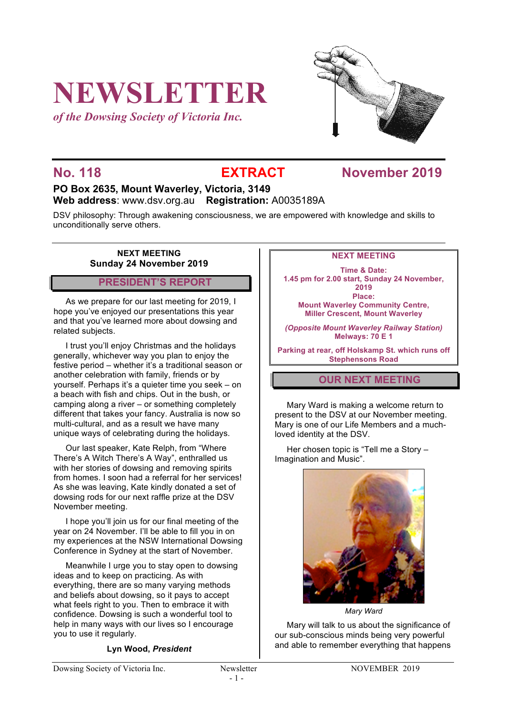# **NEWSLETTER**

*of the Dowsing Society of Victoria Inc.*



### **No. 118 EXTRACT November 2019**

### **PO Box 2635, Mount Waverley, Victoria, 3149 Web address**: www.dsv.org.au **Registration:** A0035189A

DSV philosophy: Through awakening consciousness, we are empowered with knowledge and skills to unconditionally serve others.

#### **NEXT MEETING Sunday 24 November 2019**

#### **PRESIDENT'S REPORT**

As we prepare for our last meeting for 2019, I hope you've enjoyed our presentations this year and that you've learned more about dowsing and related subjects.

I trust you'll enjoy Christmas and the holidays generally, whichever way you plan to enjoy the festive period – whether it's a traditional season or another celebration with family, friends or by yourself. Perhaps it's a quieter time you seek – on a beach with fish and chips. Out in the bush, or camping along a river – or something completely different that takes your fancy. Australia is now so multi-cultural, and as a result we have many unique ways of celebrating during the holidays.

Our last speaker, Kate Relph, from "Where There's A Witch There's A Way", enthralled us with her stories of dowsing and removing spirits from homes. I soon had a referral for her services! As she was leaving, Kate kindly donated a set of dowsing rods for our next raffle prize at the DSV November meeting.

I hope you'll join us for our final meeting of the year on 24 November. I'll be able to fill you in on my experiences at the NSW International Dowsing Conference in Sydney at the start of November.

Meanwhile I urge you to stay open to dowsing ideas and to keep on practicing. As with everything, there are so many varying methods and beliefs about dowsing, so it pays to accept what feels right to you. Then to embrace it with confidence. Dowsing is such a wonderful tool to help in many ways with our lives so I encourage you to use it regularly.

**Lyn Wood,** *President*

#### **NEXT MEETING**

**Time & Date: 1.45 pm for 2.00 start, Sunday 24 November, 2019 Place: Mount Waverley Community Centre, Miller Crescent, Mount Waverley**

*(Opposite Mount Waverley Railway Station)* **Melways: 70 E 1**

**Parking at rear, off Holskamp St. which runs off Stephensons Road**

#### **OUR NEXT MEETING**

Mary Ward is making a welcome return to present to the DSV at our November meeting. Mary is one of our Life Members and a muchloved identity at the DSV.

Her chosen topic is "Tell me a Story – Imagination and Music".



*Mary Ward*

Mary will talk to us about the significance of our sub-conscious minds being very powerful and able to remember everything that happens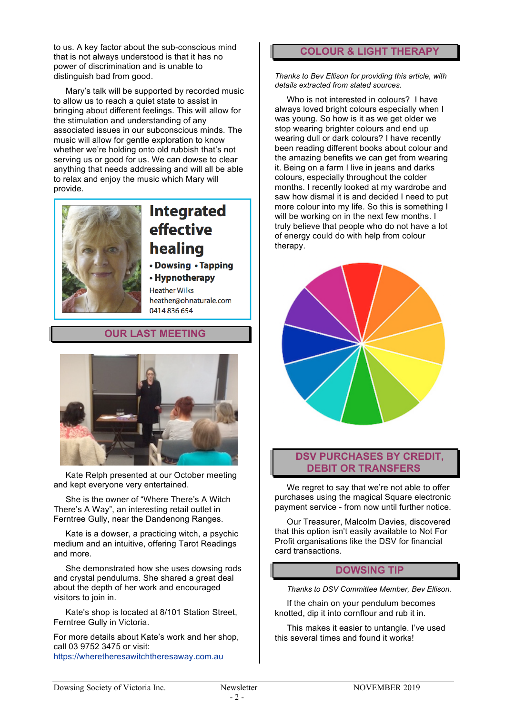to us. A key factor about the sub-conscious mind that is not always understood is that it has no power of discrimination and is unable to distinguish bad from good.

Mary's talk will be supported by recorded music to allow us to reach a quiet state to assist in bringing about different feelings. This will allow for the stimulation and understanding of any associated issues in our subconscious minds. The music will allow for gentle exploration to know whether we're holding onto old rubbish that's not serving us or good for us. We can dowse to clear anything that needs addressing and will all be able to relax and enjoy the music which Mary will provide.



## **Integrated** effective healing

• Dowsing • Tapping

• Hypnotherapy **Heather Wilks** heather@ohnaturale.com 0414836654

#### **OUR LAST MEETING**



Kate Relph presented at our October meeting and kept everyone very entertained.

She is the owner of "Where There's A Witch There's A Way", an interesting retail outlet in Ferntree Gully, near the Dandenong Ranges.

Kate is a dowser, a practicing witch, a psychic medium and an intuitive, offering Tarot Readings and more.

She demonstrated how she uses dowsing rods and crystal pendulums. She shared a great deal about the depth of her work and encouraged visitors to join in.

Kate's shop is located at 8/101 Station Street, Ferntree Gully in Victoria.

For more details about Kate's work and her shop, call 03 9752 3475 or visit: https://wheretheresawitchtheresaway.com.au

#### **COLOUR & LIGHT THERAPY**

*Thanks to Bev Ellison for providing this article, with details extracted from stated sources.*

Who is not interested in colours? I have always loved bright colours especially when I was young. So how is it as we get older we stop wearing brighter colours and end up wearing dull or dark colours? I have recently been reading different books about colour and the amazing benefits we can get from wearing it. Being on a farm I live in jeans and darks colours, especially throughout the colder months. I recently looked at my wardrobe and saw how dismal it is and decided I need to put more colour into my life. So this is something I will be working on in the next few months. I truly believe that people who do not have a lot of energy could do with help from colour therapy.



#### **DSV PURCHASES BY CREDIT, DEBIT OR TRANSFERS**

We regret to say that we're not able to offer purchases using the magical Square electronic payment service - from now until further notice.

Our Treasurer, Malcolm Davies, discovered that this option isn't easily available to Not For Profit organisations like the DSV for financial card transactions.

#### **DOWSING TIP**

*Thanks to DSV Committee Member, Bev Ellison.*

If the chain on your pendulum becomes knotted, dip it into cornflour and rub it in.

This makes it easier to untangle. I've used this several times and found it works!